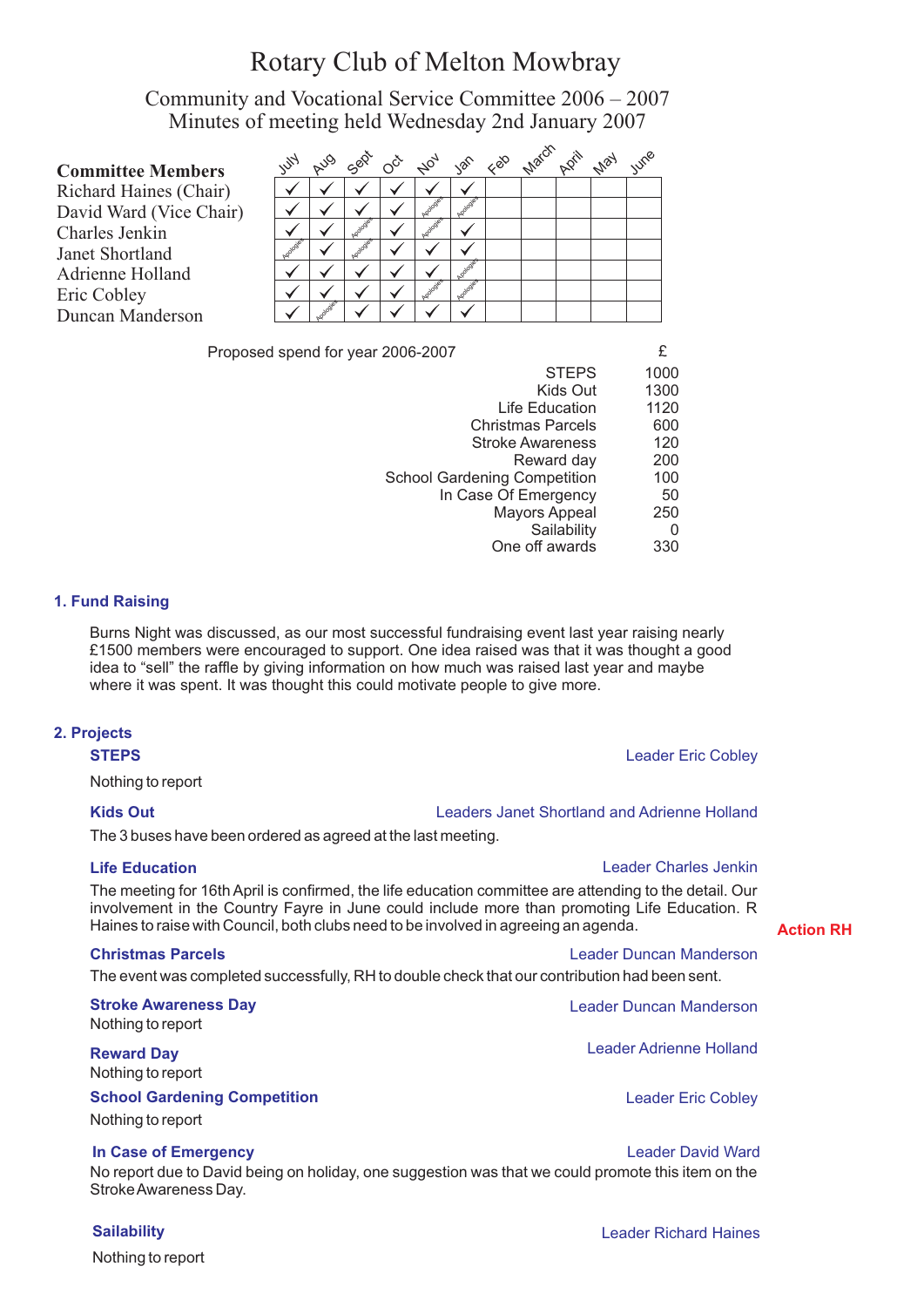# Rotary Club of Melton Mowbray

Community and Vocational Service Committee 2006 – 2007 Minutes of meeting held Wednesday 2nd January 2007

| <b>Committee Members</b> | 15      | <b>AUG</b> | Sept | $O^{\check{C}^{\check{C}}}$ | A04 | 100 | $88^{\circ}$ | March | <b>N</b> ey | IUMB |
|--------------------------|---------|------------|------|-----------------------------|-----|-----|--------------|-------|-------------|------|
| Richard Haines (Chair)   |         |            |      |                             |     |     |              |       |             |      |
| David Ward (Vice Chair)  |         |            |      |                             |     |     |              |       |             |      |
| Charles Jenkin           |         |            |      |                             |     |     |              |       |             |      |
| Janet Shortland          | ologies |            |      |                             |     |     |              |       |             |      |
| Adrienne Holland         |         |            |      |                             |     |     |              |       |             |      |
| Eric Cobley              |         |            |      |                             |     |     |              |       |             |      |
| Duncan Manderson         |         |            |      |                             |     |     |              |       |             |      |

Proposed spend for year 2006-2007

| <b>STEPS</b>                        | 1000 |
|-------------------------------------|------|
| Kids Out                            | 1300 |
| Life Education                      | 1120 |
| <b>Christmas Parcels</b>            | 600  |
| <b>Stroke Awareness</b>             | 120  |
| Reward day                          | 200  |
| <b>School Gardening Competition</b> | 100  |
| In Case Of Emergency                | 50   |
| <b>Mayors Appeal</b>                | 250  |
| Sailability                         | 0    |
| One off awards                      | 330  |
|                                     |      |

# **1. Fund Raising**

Burns Night was discussed, as our most successful fundraising event last year raising nearly £1500 members were encouraged to support. One idea raised was that it was thought a good idea to "sell" the raffle by giving information on how much was raised last year and maybe where it was spent. It was thought this could motivate people to give more.

# **2. Projects**

**STEPS** Leader Eric Cobley

Nothing to report

# **Kids Out** Leaders Janet Shortland and Adrienne Holland

The 3 buses have been ordered as agreed at the last meeting.

# **Life Education**

Leader Charles Jenkin

The meeting for 16th April is confirmed, the life education committee are attending to the detail. Our involvement in the Country Fayre in June could include more than promoting Life Education. R Haines to raise with Council, both clubs need to be involved in agreeing an agenda.

### **Christmas Parcels**

The event was completed successfully, RH to double check that our contribution had been sent.

**Stroke Awareness Day** Nothing to report

**Reward Day** Nothing to report

# **School Gardening Competition**

Nothing to report

# **In Case of Emergency Contract Contract Contract Contract Contract Contract Contract Contract Contract Contract Contract Contract Contract Contract Contract Contract Contract Contract Contract Contract Contract Contract**

No report due to David being on holiday, one suggestion was that we could promote this item on the Stroke Awareness Day.

Nothing to report

### **Sailability Leader Richard Haines Community Leader Richard Haines**

**Action RH**

Leader Duncan Manderson

Leader Duncan Manderson Leader Adrienne Holland

Leader Eric Cobley